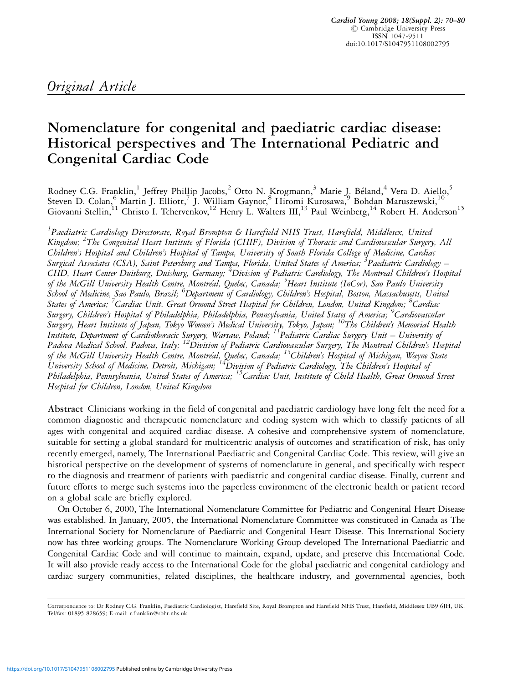# Nomenclature for congenital and paediatric cardiac disease: Historical perspectives and The International Pediatric and Congenital Cardiac Code

Rodney C.G. Franklin,<sup>1</sup> Jeffrey Phillip Jacobs,<sup>2</sup> Otto N. Krogmann,<sup>3</sup> Marie J. Béland,<sup>4</sup> Vera D. Aiello,<sup>5</sup> Steven D. Colan, Martin J. Elliott,<sup>7</sup> J. William Gaynor,<sup>8</sup> Hiromi Kurosawa,<sup>9</sup> Bohdan Maruszewski,<sup>10</sup> Giovanni Stellin,<sup>11</sup> Christo I. Tchervenkov,<sup>12</sup> Henry L. Walters III,<sup>13</sup> Paul Weinberg,<sup>14</sup> Robert H. Anderson<sup>15</sup>

<sup>1</sup>Paediatric Cardiology Directorate, Royal Brompton & Harefield NHS Trust, Harefield, Middlesex, United Kingdom; <sup>2</sup>The Congenital Heart Institute of Florida (CHIF), Division of Thoracic and Cardiovascular Surgery, All Children's Hospital and Children's Hospital of Tampa, University of South Florida College of Medicine, Cardiac Surgical Associates (CSA), Saint Petersburg and Tampa, Florida, United States of America; <sup>3</sup>Paediatric Cardiology – CHD, Heart Center Duisburg, Duisburg, Germany; <sup>4</sup>Division of Pediatric Cardiology, The Montreal Children's Hospital of the McGill University Health Centre, Montréal, Quebec, Canada; <sup>5</sup>Heart Institute (InCor), Sao Paulo University s<br>School of Medicine, Sao Paulo, Brazil; <sup>6</sup>Department of Cardiology, Children's Hospital, Boston, Massachusetts, United States of America; <sup>7</sup>Cardiac Unit, Great Ormond Street Hospital for Children, London, United Kingdom; <sup>8</sup>Cardiac Surgery, Children's Hospital of Philadelphia, Philadelphia, Pennsylvania, United States of America; <sup>9</sup>Cardiovascular Surgery, Heart Institute of Japan, Tokyo Women's Medical University, Tokyo, Japan; <sup>10</sup>The Children's Memorial Health Institute, Department of Cardiothoracic Surgery, Warsaw, Poland; 11Pediatric Cardiac Surgery Unit – University of Padova Medical School, Padova, Italy; <sup>12</sup>Division of Pediatric Cardiovascular Surgery, The Montreal Children's Hospital of the McGill University Health Centre, Montréal, Quebec, Canada; <sup>13</sup>Children's Hospital of Michigan, Wayne State University School of Medicine, Detroit, Michigan; <sup>14</sup>Division of Pediatric Cardiology, The Children's Hospital of Philadelphia, Pennsylvania, United States of America; <sup>15</sup>Cardiac Unit, Institute of Child Health, Great Ormond Street Hospital for Children, London, United Kingdom

Abstract Clinicians working in the field of congenital and paediatric cardiology have long felt the need for a common diagnostic and therapeutic nomenclature and coding system with which to classify patients of all ages with congenital and acquired cardiac disease. A cohesive and comprehensive system of nomenclature, suitable for setting a global standard for multicentric analysis of outcomes and stratification of risk, has only recently emerged, namely, The International Paediatric and Congenital Cardiac Code. This review, will give an historical perspective on the development of systems of nomenclature in general, and specifically with respect to the diagnosis and treatment of patients with paediatric and congenital cardiac disease. Finally, current and future efforts to merge such systems into the paperless environment of the electronic health or patient record on a global scale are briefly explored.

On October 6, 2000, The International Nomenclature Committee for Pediatric and Congenital Heart Disease was established. In January, 2005, the International Nomenclature Committee was constituted in Canada as The International Society for Nomenclature of Paediatric and Congenital Heart Disease. This International Society now has three working groups. The Nomenclature Working Group developed The International Paediatric and Congenital Cardiac Code and will continue to maintain, expand, update, and preserve this International Code. It will also provide ready access to the International Code for the global paediatric and congenital cardiology and cardiac surgery communities, related disciplines, the healthcare industry, and governmental agencies, both

Correspondence to: Dr Rodney C.G. Franklin, Paediatric Cardiologist, Harefield Site, Royal Brompton and Harefield NHS Trust, Harefield, Middlesex UB9 6JH, UK. Tel/fax: 01895 828659; E-mail: r.franklin@rbht.nhs.uk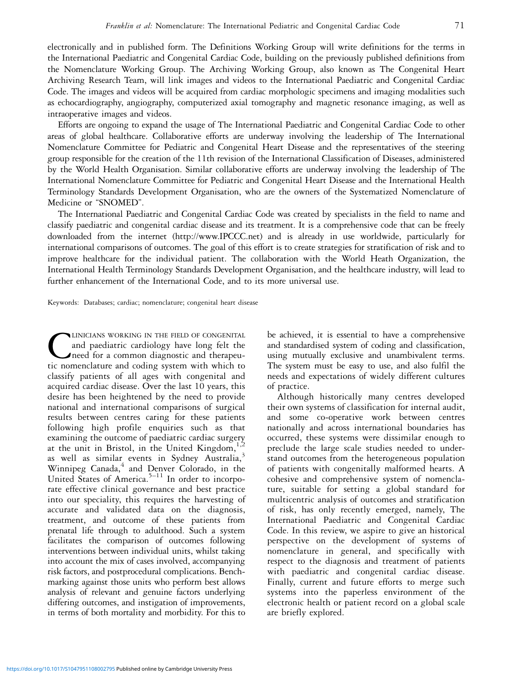electronically and in published form. The Definitions Working Group will write definitions for the terms in the International Paediatric and Congenital Cardiac Code, building on the previously published definitions from the Nomenclature Working Group. The Archiving Working Group, also known as The Congenital Heart Archiving Research Team, will link images and videos to the International Paediatric and Congenital Cardiac Code. The images and videos will be acquired from cardiac morphologic specimens and imaging modalities such as echocardiography, angiography, computerized axial tomography and magnetic resonance imaging, as well as intraoperative images and videos.

Efforts are ongoing to expand the usage of The International Paediatric and Congenital Cardiac Code to other areas of global healthcare. Collaborative efforts are underway involving the leadership of The International Nomenclature Committee for Pediatric and Congenital Heart Disease and the representatives of the steering group responsible for the creation of the 11th revision of the International Classification of Diseases, administered by the World Health Organisation. Similar collaborative efforts are underway involving the leadership of The International Nomenclature Committee for Pediatric and Congenital Heart Disease and the International Health Terminology Standards Development Organisation, who are the owners of the Systematized Nomenclature of Medicine or ''SNOMED''.

The International Paediatric and Congenital Cardiac Code was created by specialists in the field to name and classify paediatric and congenital cardiac disease and its treatment. It is a comprehensive code that can be freely downloaded from the internet (http://www.IPCCC.net) and is already in use worldwide, particularly for international comparisons of outcomes. The goal of this effort is to create strategies for stratification of risk and to improve healthcare for the individual patient. The collaboration with the World Heath Organization, the International Health Terminology Standards Development Organisation, and the healthcare industry, will lead to further enhancement of the International Code, and to its more universal use.

Keywords: Databases; cardiac; nomenclature; congenital heart disease

CLINICIANS WORKING IN THE FIELD OF CONGENITAL<br>and paediatric cardiology have long felt the<br>need for a common diagnostic and therapeu-<br>tic nomenclature and coding system with which to and paediatric cardiology have long felt the need for a common diagnostic and therapeutic nomenclature and coding system with which to classify patients of all ages with congenital and acquired cardiac disease. Over the last 10 years, this desire has been heightened by the need to provide national and international comparisons of surgical results between centres caring for these patients following high profile enquiries such as that examining the outcome of paediatric cardiac surgery at the unit in Bristol, in the United Kingdom, $\frac{1}{2}$ as well as similar events in Sydney Australia,<sup>3</sup> Winnipeg Canada,<sup>4</sup> and Denver Colorado, in the United States of America.<sup>5-11</sup> In order to incorporate effective clinical governance and best practice into our speciality, this requires the harvesting of accurate and validated data on the diagnosis, treatment, and outcome of these patients from prenatal life through to adulthood. Such a system facilitates the comparison of outcomes following interventions between individual units, whilst taking into account the mix of cases involved, accompanying risk factors, and postprocedural complications. Benchmarking against those units who perform best allows analysis of relevant and genuine factors underlying differing outcomes, and instigation of improvements, in terms of both mortality and morbidity. For this to

be achieved, it is essential to have a comprehensive and standardised system of coding and classification, using mutually exclusive and unambivalent terms. The system must be easy to use, and also fulfil the needs and expectations of widely different cultures of practice.

Although historically many centres developed their own systems of classification for internal audit, and some co-operative work between centres nationally and across international boundaries has occurred, these systems were dissimilar enough to preclude the large scale studies needed to understand outcomes from the heterogeneous population of patients with congenitally malformed hearts. A cohesive and comprehensive system of nomenclature, suitable for setting a global standard for multicentric analysis of outcomes and stratification of risk, has only recently emerged, namely, The International Paediatric and Congenital Cardiac Code. In this review, we aspire to give an historical perspective on the development of systems of nomenclature in general, and specifically with respect to the diagnosis and treatment of patients with paediatric and congenital cardiac disease. Finally, current and future efforts to merge such systems into the paperless environment of the electronic health or patient record on a global scale are briefly explored.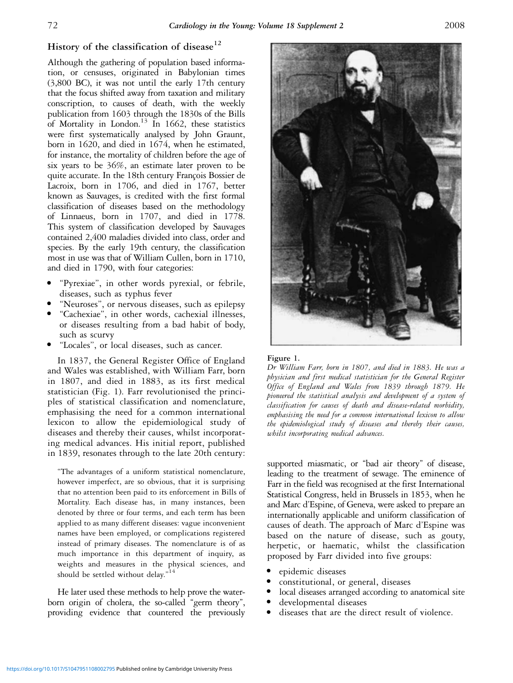# History of the classification of disease<sup>12</sup>

Although the gathering of population based information, or censuses, originated in Babylonian times (3,800 BC), it was not until the early 17th century that the focus shifted away from taxation and military conscription, to causes of death, with the weekly publication from 1603 through the 1830s of the Bills of Mortality in London.<sup>13</sup> In 1662, these statistics were first systematically analysed by John Graunt, born in 1620, and died in 1674, when he estimated, for instance, the mortality of children before the age of six years to be 36%, an estimate later proven to be quite accurate. In the 18th century François Bossier de Lacroix, born in 1706, and died in 1767, better known as Sauvages, is credited with the first formal classification of diseases based on the methodology of Linnaeus, born in 1707, and died in 1778. This system of classification developed by Sauvages contained 2,400 maladies divided into class, order and species. By the early 19th century, the classification most in use was that of William Cullen, born in 1710, and died in 1790, with four categories:

- "Pyrexiae", in other words pyrexial, or febrile, diseases, such as typhus fever
- <sup>&</sup>gt; ''Neuroses'', or nervous diseases, such as epilepsy
- <sup>&</sup>gt; ''Cachexiae'', in other words, cachexial illnesses, or diseases resulting from a bad habit of body, such as scurvy
- <sup>&</sup>gt; ''Locales'', or local diseases, such as cancer.

In 1837, the General Register Office of England and Wales was established, with William Farr, born in 1807, and died in 1883, as its first medical statistician (Fig. 1). Farr revolutionised the principles of statistical classification and nomenclature, emphasising the need for a common international lexicon to allow the epidemiological study of diseases and thereby their causes, whilst incorporating medical advances. His initial report, published in 1839, resonates through to the late 20th century:

''The advantages of a uniform statistical nomenclature, however imperfect, are so obvious, that it is surprising that no attention been paid to its enforcement in Bills of Mortality. Each disease has, in many instances, been denoted by three or four terms, and each term has been applied to as many different diseases: vague inconvenient names have been employed, or complications registered instead of primary diseases. The nomenclature is of as much importance in this department of inquiry, as weights and measures in the physical sciences, and should be settled without delay."<sup>14</sup>

He later used these methods to help prove the waterborn origin of cholera, the so-called ''germ theory'', providing evidence that countered the previously



#### Figure 1.

Dr William Farr, born in 1807, and died in 1883. He was a physician and first medical statistician for the General Register Office of England and Wales from 1839 through 1879. He pioneered the statistical analysis and development of a system of classification for causes of death and disease-related morbidity, emphasising the need for a common international lexicon to allow the epidemiological study of diseases and thereby their causes, whilst incorporating medical advances.

supported miasmatic, or "bad air theory" of disease, leading to the treatment of sewage. The eminence of Farr in the field was recognised at the first International Statistical Congress, held in Brussels in 1853, when he and Marc d'Espine, of Geneva, were asked to prepare an internationally applicable and uniform classification of causes of death. The approach of Marc d'Espine was based on the nature of disease, such as gouty, herpetic, or haematic, whilst the classification proposed by Farr divided into five groups:

- epidemic diseases
- constitutional, or general, diseases
- <sup>&</sup>gt; local diseases arranged according to anatomical site
- developmental diseases
- <sup>&</sup>gt; diseases that are the direct result of violence.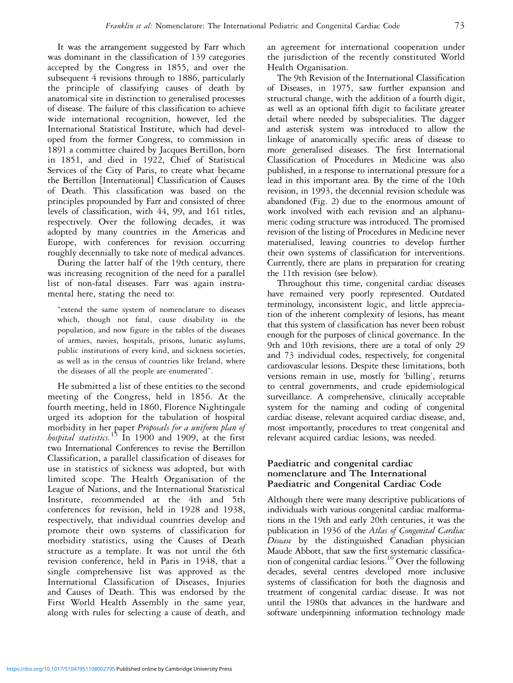It was the arrangement suggested by Farr which was dominant in the classification of 139 categories accepted by the Congress in 1855, and over the subsequent 4 revisions through to 1886, particularly the principle of classifying causes of death by anatomical site in distinction to generalised processes of disease. The failure of this classification to achieve wide international recognition, however, led the International Statistical Institute, which had developed from the former Congress, to commission in 1891 a committee chaired by Jacques Bertillon, born in 1851, and died in 1922, Chief of Statistical Services of the City of Paris, to create what became the Bertillon [International] Classification of Causes of Death. This classification was based on the principles propounded by Farr and consisted of three levels of classification, with 44, 99, and 161 titles, respectively. Over the following decades, it was adopted by many countries in the Americas and Europe, with conferences for revision occurring roughly decennially to take note of medical advances.

During the latter half of the 19th century, there was increasing recognition of the need for a parallel list of non-fatal diseases. Farr was again instrumental here, stating the need to:

"extend the same system of nomenclature to diseases which, though not fatal, cause disability in the population, and now figure in the tables of the diseases of armies, navies, hospitals, prisons, lunatic asylums, public institutions of every kind, and sickness societies, as well as in the census of countries like Ireland, where the diseases of all the people are enumerated''.

He submitted a list of these entities to the second meeting of the Congress, held in 1856. At the fourth meeting, held in 1860, Florence Nightingale urged its adoption for the tabulation of hospital morbidity in her paper Proposals for a uniform plan of hospital statistics.<sup>15</sup> In 1900 and 1909, at the first two International Conferences to revise the Bertillon Classification, a parallel classification of diseases for use in statistics of sickness was adopted, but with limited scope. The Health Organisation of the League of Nations, and the International Statistical Institute, recommended at the 4th and 5th conferences for revision, held in 1928 and 1938, respectively, that individual countries develop and promote their own systems of classification for morbidity statistics, using the Causes of Death structure as a template. It was not until the 6th revision conference, held in Paris in 1948, that a single comprehensive list was approved as the International Classification of Diseases, Injuries and Causes of Death. This was endorsed by the First World Health Assembly in the same year, along with rules for selecting a cause of death, and

an agreement for international cooperation under the jurisdiction of the recently constituted World Health Organisation.

The 9th Revision of the International Classification of Diseases, in 1975, saw further expansion and structural change, with the addition of a fourth digit, as well as an optional fifth digit to facilitate greater detail where needed by subspecialities. The dagger and asterisk system was introduced to allow the linkage of anatomically specific areas of disease to more generalised diseases. The first International Classification of Procedures in Medicine was also published, in a response to international pressure for a lead in this important area. By the time of the 10th revision, in 1993, the decennial revision schedule was abandoned (Fig. 2) due to the enormous amount of work involved with each revision and an alphanumeric coding structure was introduced. The promised revision of the listing of Procedures in Medicine never materialised, leaving countries to develop further their own systems of classification for interventions. Currently, there are plans in preparation for creating the 11th revision (see below).

Throughout this time, congenital cardiac diseases have remained very poorly represented. Outdated terminology, inconsistent logic, and little appreciation of the inherent complexity of lesions, has meant that this system of classification has never been robust enough for the purposes of clinical governance. In the 9th and 10th revisions, there are a total of only 29 and 73 individual codes, respectively, for congenital cardiovascular lesions. Despite these limitations, both versions remain in use, mostly for 'billing', returns to central governments, and crude epidemiological surveillance. A comprehensive, clinically acceptable system for the naming and coding of congenital cardiac disease, relevant acquired cardiac disease, and, most importantly, procedures to treat congenital and relevant acquired cardiac lesions, was needed.

# Paediatric and congenital cardiac nomenclature and The International Paediatric and Congenital Cardiac Code

Although there were many descriptive publications of individuals with various congenital cardiac malformations in the 19th and early 20th centuries, it was the publication in 1936 of the Atlas of Congenital Cardiac Disease by the distinguished Canadian physician Maude Abbott, that saw the first systematic classification of congenital cardiac lesions.<sup>16</sup> Over the following decades, several centres developed more inclusive systems of classification for both the diagnosis and treatment of congenital cardiac disease. It was not until the 1980s that advances in the hardware and software underpinning information technology made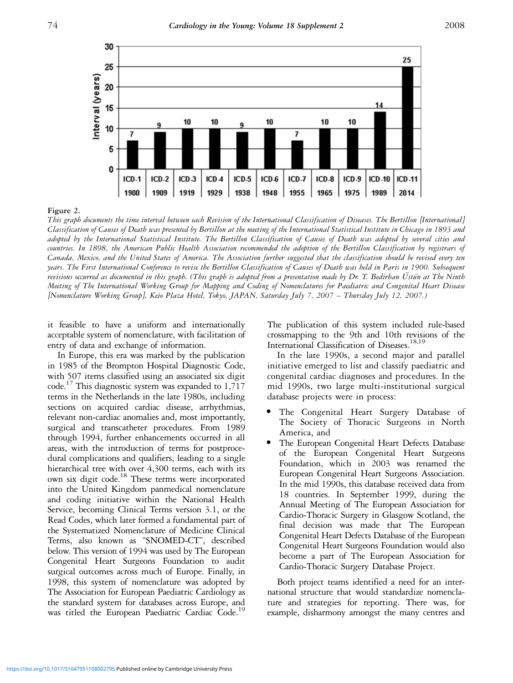

#### Figure 2.

This graph documents the time interval between each Revision of the International Classification of Diseases. The Bertillon [International] Classification of Causes of Death was presented by Bertillon at the meeting of the International Statistical Institute in Chicago in 1893 and adopted by the International Statistical Institute. The Bertillon Classification of Causes of Death was adopted by several cities and countries. In 1898, the American Public Health Association recommended the adoption of the Bertillon Classification by registrars of Canada, Mexico, and the United States of America. The Association further suggested that the classification should be revised every ten years. The First International Conference to revise the Bertillon Classification of Causes of Death was held in Paris in 1900. Subsequent revisions occurred as documented in this graph. (This graph is adopted from a presentation made by Dr. T. Bedirhan Ustun at The Ninth Meeting of The International Working Group for Mapping and Coding of Nomenclatures for Paediatric and Congenital Heart Disease [Nomenclature Working Group], Keio Plaza Hotel, Tokyo, JAPAN, Saturday July 7, 2007 – Thursday July 12, 2007.)

it feasible to have a uniform and internationally acceptable system of nomenclature, with facilitation of entry of data and exchange of information.

In Europe, this era was marked by the publication in 1985 of the Brompton Hospital Diagnostic Code, with 507 items classified using an associated six digit code.<sup>17</sup> This diagnostic system was expanded to 1,717 terms in the Netherlands in the late 1980s, including sections on acquired cardiac disease, arrhythmias, relevant non-cardiac anomalies and, most importantly, surgical and transcatheter procedures. From 1989 through 1994, further enhancements occurred in all areas, with the introduction of terms for postprocedural complications and qualifiers, leading to a single hierarchical tree with over 4,300 terms, each with its own six digit code.<sup>18</sup> These terms were incorporated into the United Kingdom panmedical nomenclature and coding initiative within the National Health Service, becoming Clinical Terms version 3.1, or the Read Codes, which later formed a fundamental part of the Systematized Nomenclature of Medicine Clinical Terms, also known as ''SNOMED-CT'', described below. This version of 1994 was used by The European Congenital Heart Surgeons Foundation to audit surgical outcomes across much of Europe. Finally, in 1998, this system of nomenclature was adopted by The Association for European Paediatric Cardiology as the standard system for databases across Europe, and was titled the European Paediatric Cardiac Code.<sup>19</sup>

The publication of this system included rule-based crossmapping to the 9th and 10th revisions of the International Classification of Diseases.<sup>18,19</sup>

In the late 1990s, a second major and parallel initiative emerged to list and classify paediatric and congenital cardiac diagnoses and procedures. In the mid 1990s, two large multi-institutional surgical database projects were in process:

- The Congenital Heart Surgery Database of The Society of Thoracic Surgeons in North America, and
- The European Congenital Heart Defects Database of the European Congenital Heart Surgeons Foundation, which in 2003 was renamed the European Congenital Heart Surgeons Association. In the mid 1990s, this database received data from 18 countries. In September 1999, during the Annual Meeting of The European Association for Cardio-Thoracic Surgery in Glasgow Scotland, the final decision was made that The European Congenital Heart Defects Database of the European Congenital Heart Surgeons Foundation would also become a part of The European Association for Cardio-Thoracic Surgery Database Project.

Both project teams identified a need for an international structure that would standardize nomenclature and strategies for reporting. There was, for example, disharmony amongst the many centres and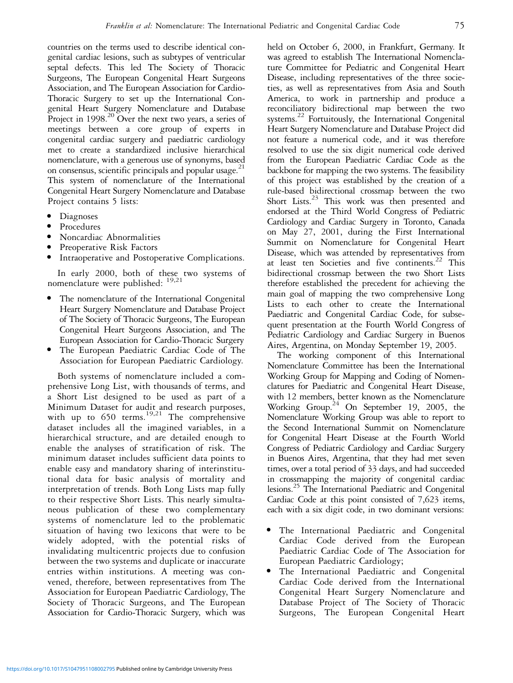countries on the terms used to describe identical congenital cardiac lesions, such as subtypes of ventricular septal defects. This led The Society of Thoracic Surgeons, The European Congenital Heart Surgeons Association, and The European Association for Cardio-Thoracic Surgery to set up the International Congenital Heart Surgery Nomenclature and Database Project in 1998.<sup>20</sup> Over the next two years, a series of meetings between a core group of experts in congenital cardiac surgery and paediatric cardiology met to create a standardized inclusive hierarchical nomenclature, with a generous use of synonyms, based on consensus, scientific principals and popular usage.<sup>21</sup> This system of nomenclature of the International Congenital Heart Surgery Nomenclature and Database Project contains 5 lists:

- <sup>&</sup>gt; Diagnoses
- **Procedures**
- <sup>&</sup>gt; Noncardiac Abnormalities
- Preoperative Risk Factors
- Intraoperative and Postoperative Complications.

In early 2000, both of these two systems of nomenclature were published: 19,21

- The nomenclature of the International Congenital Heart Surgery Nomenclature and Database Project of The Society of Thoracic Surgeons, The European Congenital Heart Surgeons Association, and The European Association for Cardio-Thoracic Surgery
- The European Paediatric Cardiac Code of The Association for European Paediatric Cardiology.

Both systems of nomenclature included a comprehensive Long List, with thousands of terms, and a Short List designed to be used as part of a Minimum Dataset for audit and research purposes, with up to  $650$  terms.<sup>19,21</sup> The comprehensive dataset includes all the imagined variables, in a hierarchical structure, and are detailed enough to enable the analyses of stratification of risk. The minimum dataset includes sufficient data points to enable easy and mandatory sharing of interinstitutional data for basic analysis of mortality and interpretation of trends. Both Long Lists map fully to their respective Short Lists. This nearly simultaneous publication of these two complementary systems of nomenclature led to the problematic situation of having two lexicons that were to be widely adopted, with the potential risks of invalidating multicentric projects due to confusion between the two systems and duplicate or inaccurate entries within institutions. A meeting was convened, therefore, between representatives from The Association for European Paediatric Cardiology, The Society of Thoracic Surgeons, and The European Association for Cardio-Thoracic Surgery, which was

held on October 6, 2000, in Frankfurt, Germany. It was agreed to establish The International Nomenclature Committee for Pediatric and Congenital Heart Disease, including representatives of the three societies, as well as representatives from Asia and South America, to work in partnership and produce a reconciliatory bidirectional map between the two systems.<sup>22</sup> Fortuitously, the International Congenital Heart Surgery Nomenclature and Database Project did not feature a numerical code, and it was therefore resolved to use the six digit numerical code derived from the European Paediatric Cardiac Code as the backbone for mapping the two systems. The feasibility of this project was established by the creation of a rule-based bidirectional crossmap between the two Short Lists.<sup>23</sup> This work was then presented and endorsed at the Third World Congress of Pediatric Cardiology and Cardiac Surgery in Toronto, Canada on May 27, 2001, during the First International Summit on Nomenclature for Congenital Heart Disease, which was attended by representatives from at least ten Societies and five continents.<sup>22</sup> This bidirectional crossmap between the two Short Lists therefore established the precedent for achieving the main goal of mapping the two comprehensive Long Lists to each other to create the International Paediatric and Congenital Cardiac Code, for subsequent presentation at the Fourth World Congress of Pediatric Cardiology and Cardiac Surgery in Buenos Aires, Argentina, on Monday September 19, 2005.

The working component of this International Nomenclature Committee has been the International Working Group for Mapping and Coding of Nomenclatures for Paediatric and Congenital Heart Disease, with 12 members, better known as the Nomenclature Working Group.<sup>24</sup> On September 19, 2005, the Nomenclature Working Group was able to report to the Second International Summit on Nomenclature for Congenital Heart Disease at the Fourth World Congress of Pediatric Cardiology and Cardiac Surgery in Buenos Aires, Argentina, that they had met seven times, over a total period of 33 days, and had succeeded in crossmapping the majority of congenital cardiac lesions.25 The International Paediatric and Congenital Cardiac Code at this point consisted of 7,623 items, each with a six digit code, in two dominant versions:

- <sup>&</sup>gt; The International Paediatric and Congenital Cardiac Code derived from the European Paediatric Cardiac Code of The Association for European Paediatric Cardiology;
- The International Paediatric and Congenital Cardiac Code derived from the International Congenital Heart Surgery Nomenclature and Database Project of The Society of Thoracic Surgeons, The European Congenital Heart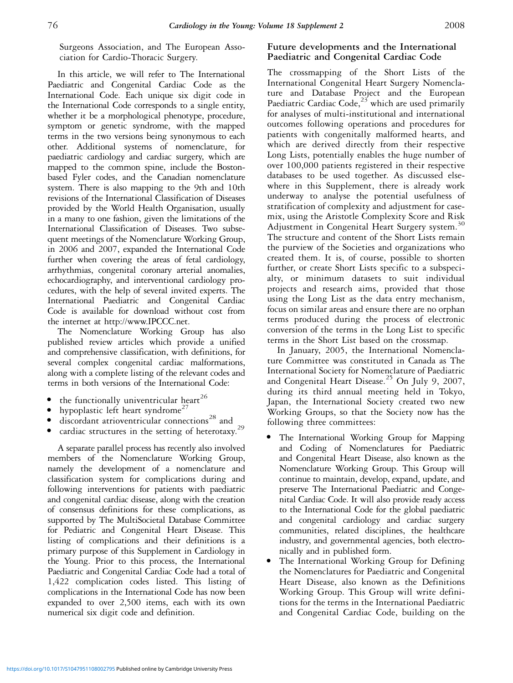Surgeons Association, and The European Association for Cardio-Thoracic Surgery.

In this article, we will refer to The International Paediatric and Congenital Cardiac Code as the International Code. Each unique six digit code in the International Code corresponds to a single entity, whether it be a morphological phenotype, procedure, symptom or genetic syndrome, with the mapped terms in the two versions being synonymous to each other. Additional systems of nomenclature, for paediatric cardiology and cardiac surgery, which are mapped to the common spine, include the Bostonbased Fyler codes, and the Canadian nomenclature system. There is also mapping to the 9th and 10th revisions of the International Classification of Diseases provided by the World Health Organisation, usually in a many to one fashion, given the limitations of the International Classification of Diseases. Two subsequent meetings of the Nomenclature Working Group, in 2006 and 2007, expanded the International Code further when covering the areas of fetal cardiology, arrhythmias, congenital coronary arterial anomalies, echocardiography, and interventional cardiology procedures, with the help of several invited experts. The International Paediatric and Congenital Cardiac Code is available for download without cost from the internet at http://www.IPCCC.net.

The Nomenclature Working Group has also published review articles which provide a unified and comprehensive classification, with definitions, for several complex congenital cardiac malformations, along with a complete listing of the relevant codes and terms in both versions of the International Code:

- the functionally univentricular heart<sup>26</sup>
- hypoplastic left heart syndrome<sup>27</sup>
- $\bullet$  discordant atrioventricular connections<sup>28</sup> and
- cardiac structures in the setting of heterotaxy.<sup>29</sup>

A separate parallel process has recently also involved members of the Nomenclature Working Group, namely the development of a nomenclature and classification system for complications during and following interventions for patients with paediatric and congenital cardiac disease, along with the creation of consensus definitions for these complications, as supported by The MultiSocietal Database Committee for Pediatric and Congenital Heart Disease. This listing of complications and their definitions is a primary purpose of this Supplement in Cardiology in the Young. Prior to this process, the International Paediatric and Congenital Cardiac Code had a total of 1,422 complication codes listed. This listing of complications in the International Code has now been expanded to over 2,500 items, each with its own numerical six digit code and definition.

# Future developments and the International Paediatric and Congenital Cardiac Code

The crossmapping of the Short Lists of the International Congenital Heart Surgery Nomenclature and Database Project and the European Paediatric Cardiac Code,<sup>23</sup> which are used primarily for analyses of multi-institutional and international outcomes following operations and procedures for patients with congenitally malformed hearts, and which are derived directly from their respective Long Lists, potentially enables the huge number of over 100,000 patients registered in their respective databases to be used together. As discussed elsewhere in this Supplement, there is already work underway to analyse the potential usefulness of stratification of complexity and adjustment for casemix, using the Aristotle Complexity Score and Risk Adjustment in Congenital Heart Surgery system.<sup>30</sup> The structure and content of the Short Lists remain the purview of the Societies and organizations who created them. It is, of course, possible to shorten further, or create Short Lists specific to a subspecialty, or minimum datasets to suit individual projects and research aims, provided that those using the Long List as the data entry mechanism, focus on similar areas and ensure there are no orphan terms produced during the process of electronic conversion of the terms in the Long List to specific terms in the Short List based on the crossmap.

In January, 2005, the International Nomenclature Committee was constituted in Canada as The International Society for Nomenclature of Paediatric and Congenital Heart Disease.<sup>25</sup> On July 9, 2007, during its third annual meeting held in Tokyo, Japan, the International Society created two new Working Groups, so that the Society now has the following three committees:

- <sup>&</sup>gt; The International Working Group for Mapping and Coding of Nomenclatures for Paediatric and Congenital Heart Disease, also known as the Nomenclature Working Group. This Group will continue to maintain, develop, expand, update, and preserve The International Paediatric and Congenital Cardiac Code. It will also provide ready access to the International Code for the global paediatric and congenital cardiology and cardiac surgery communities, related disciplines, the healthcare industry, and governmental agencies, both electronically and in published form.
- The International Working Group for Defining the Nomenclatures for Paediatric and Congenital Heart Disease, also known as the Definitions Working Group. This Group will write definitions for the terms in the International Paediatric and Congenital Cardiac Code, building on the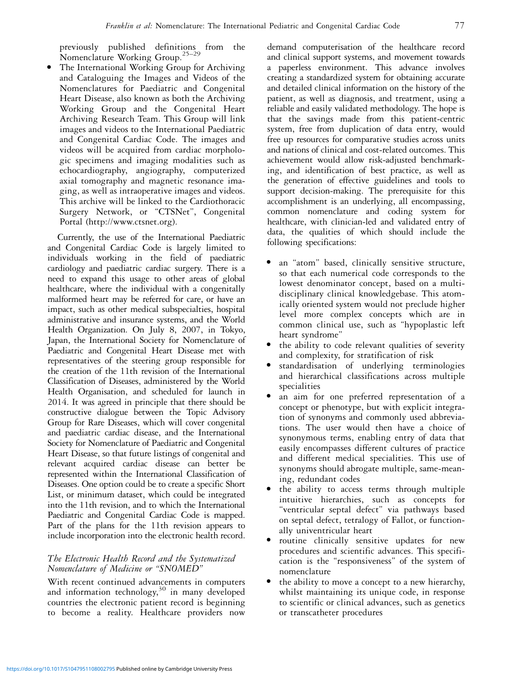previously published definitions from the Nomenclature Working Group.25–29

The International Working Group for Archiving and Cataloguing the Images and Videos of the Nomenclatures for Paediatric and Congenital Heart Disease, also known as both the Archiving Working Group and the Congenital Heart Archiving Research Team. This Group will link images and videos to the International Paediatric and Congenital Cardiac Code. The images and videos will be acquired from cardiac morphologic specimens and imaging modalities such as echocardiography, angiography, computerized axial tomography and magnetic resonance imaging, as well as intraoperative images and videos. This archive will be linked to the Cardiothoracic Surgery Network, or "CTSNet", Congenital Portal (http://www.ctsnet.org).

Currently, the use of the International Paediatric and Congenital Cardiac Code is largely limited to individuals working in the field of paediatric cardiology and paediatric cardiac surgery. There is a need to expand this usage to other areas of global healthcare, where the individual with a congenitally malformed heart may be referred for care, or have an impact, such as other medical subspecialties, hospital administrative and insurance systems, and the World Health Organization. On July 8, 2007, in Tokyo, Japan, the International Society for Nomenclature of Paediatric and Congenital Heart Disease met with representatives of the steering group responsible for the creation of the 11th revision of the International Classification of Diseases, administered by the World Health Organisation, and scheduled for launch in 2014. It was agreed in principle that there should be constructive dialogue between the Topic Advisory Group for Rare Diseases, which will cover congenital and paediatric cardiac disease, and the International Society for Nomenclature of Paediatric and Congenital Heart Disease, so that future listings of congenital and relevant acquired cardiac disease can better be represented within the International Classification of Diseases. One option could be to create a specific Short List, or minimum dataset, which could be integrated into the 11th revision, and to which the International Paediatric and Congenital Cardiac Code is mapped. Part of the plans for the 11th revision appears to include incorporation into the electronic health record.

# The Electronic Health Record and the Systematized Nomenclature of Medicine or ''SNOMED''

With recent continued advancements in computers and information technology, $30$  in many developed countries the electronic patient record is beginning to become a reality. Healthcare providers now

demand computerisation of the healthcare record and clinical support systems, and movement towards a paperless environment. This advance involves creating a standardized system for obtaining accurate and detailed clinical information on the history of the patient, as well as diagnosis, and treatment, using a reliable and easily validated methodology. The hope is that the savings made from this patient-centric system, free from duplication of data entry, would free up resources for comparative studies across units and nations of clinical and cost-related outcomes. This achievement would allow risk-adjusted benchmarking, and identification of best practice, as well as the generation of effective guidelines and tools to support decision-making. The prerequisite for this accomplishment is an underlying, all encompassing, common nomenclature and coding system for healthcare, with clinician-led and validated entry of data, the qualities of which should include the following specifications:

- <sup>&</sup>gt; an ''atom'' based, clinically sensitive structure, so that each numerical code corresponds to the lowest denominator concept, based on a multidisciplinary clinical knowledgebase. This atomically oriented system would not preclude higher level more complex concepts which are in common clinical use, such as ''hypoplastic left heart syndrome''
- the ability to code relevant qualities of severity and complexity, for stratification of risk
- standardisation of underlying terminologies and hierarchical classifications across multiple specialities
- an aim for one preferred representation of a concept or phenotype, but with explicit integration of synonyms and commonly used abbreviations. The user would then have a choice of synonymous terms, enabling entry of data that easily encompasses different cultures of practice and different medical specialities. This use of synonyms should abrogate multiple, same-meaning, redundant codes
- the ability to access terms through multiple intuitive hierarchies, such as concepts for ''ventricular septal defect'' via pathways based on septal defect, tetralogy of Fallot, or functionally univentricular heart
- routine clinically sensitive updates for new procedures and scientific advances. This specification is the ''responsiveness'' of the system of nomenclature
- the ability to move a concept to a new hierarchy, whilst maintaining its unique code, in response to scientific or clinical advances, such as genetics or transcatheter procedures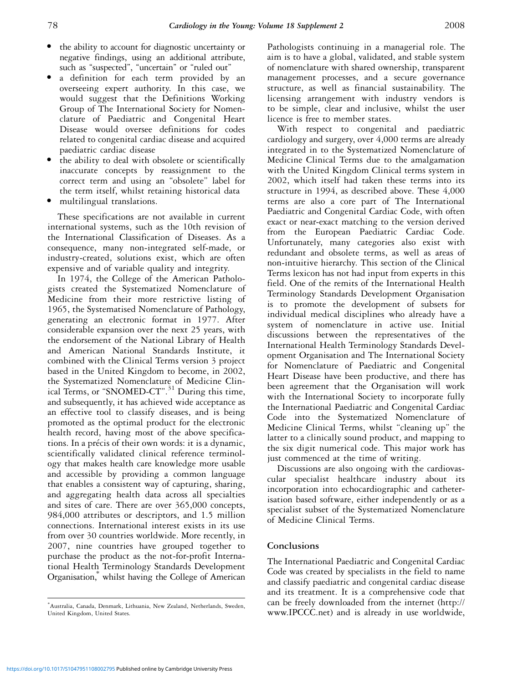- the ability to account for diagnostic uncertainty or negative findings, using an additional attribute, such as "suspected", "uncertain" or "ruled out"
- a definition for each term provided by an overseeing expert authority. In this case, we would suggest that the Definitions Working Group of The International Society for Nomenclature of Paediatric and Congenital Heart Disease would oversee definitions for codes related to congenital cardiac disease and acquired paediatric cardiac disease
- the ability to deal with obsolete or scientifically inaccurate concepts by reassignment to the correct term and using an ''obsolete'' label for the term itself, whilst retaining historical data
- multilingual translations.

These specifications are not available in current international systems, such as the 10th revision of the International Classification of Diseases. As a consequence, many non-integrated self-made, or industry-created, solutions exist, which are often expensive and of variable quality and integrity.

In 1974, the College of the American Pathologists created the Systematized Nomenclature of Medicine from their more restrictive listing of 1965, the Systematised Nomenclature of Pathology, generating an electronic format in 1977. After considerable expansion over the next 25 years, with the endorsement of the National Library of Health and American National Standards Institute, it combined with the Clinical Terms version 3 project based in the United Kingdom to become, in 2002, the Systematized Nomenclature of Medicine Clinical Terms, or "SNOMED-CT".<sup>31</sup> During this time, and subsequently, it has achieved wide acceptance as an effective tool to classify diseases, and is being promoted as the optimal product for the electronic health record, having most of the above specifications. In a précis of their own words: it is a dynamic, scientifically validated clinical reference terminology that makes health care knowledge more usable and accessible by providing a common language that enables a consistent way of capturing, sharing, and aggregating health data across all specialties and sites of care. There are over 365,000 concepts, 984,000 attributes or descriptors, and 1.5 million connections. International interest exists in its use from over 30 countries worldwide. More recently, in 2007, nine countries have grouped together to purchase the product as the not-for-profit International Health Terminology Standards Development Organisation,\* whilst having the College of American

Pathologists continuing in a managerial role. The aim is to have a global, validated, and stable system of nomenclature with shared ownership, transparent management processes, and a secure governance structure, as well as financial sustainability. The licensing arrangement with industry vendors is to be simple, clear and inclusive, whilst the user licence is free to member states.

With respect to congenital and paediatric cardiology and surgery, over 4,000 terms are already integrated in to the Systematized Nomenclature of Medicine Clinical Terms due to the amalgamation with the United Kingdom Clinical terms system in 2002, which itself had taken these terms into its structure in 1994, as described above. These 4,000 terms are also a core part of The International Paediatric and Congenital Cardiac Code, with often exact or near-exact matching to the version derived from the European Paediatric Cardiac Code. Unfortunately, many categories also exist with redundant and obsolete terms, as well as areas of non-intuitive hierarchy. This section of the Clinical Terms lexicon has not had input from experts in this field. One of the remits of the International Health Terminology Standards Development Organisation is to promote the development of subsets for individual medical disciplines who already have a system of nomenclature in active use. Initial discussions between the representatives of the International Health Terminology Standards Development Organisation and The International Society for Nomenclature of Paediatric and Congenital Heart Disease have been productive, and there has been agreement that the Organisation will work with the International Society to incorporate fully the International Paediatric and Congenital Cardiac Code into the Systematized Nomenclature of Medicine Clinical Terms, whilst ''cleaning up'' the latter to a clinically sound product, and mapping to the six digit numerical code. This major work has just commenced at the time of writing.

Discussions are also ongoing with the cardiovascular specialist healthcare industry about its incorporation into echocardiographic and catheterisation based software, either independently or as a specialist subset of the Systematized Nomenclature of Medicine Clinical Terms.

## **Conclusions**

The International Paediatric and Congenital Cardiac Code was created by specialists in the field to name and classify paediatric and congenital cardiac disease and its treatment. It is a comprehensive code that can be freely downloaded from the internet (http:// www.IPCCC.net) and is already in use worldwide,

<sup>\*</sup> Australia, Canada, Denmark, Lithuania, New Zealand, Netherlands, Sweden, United Kingdom, United States.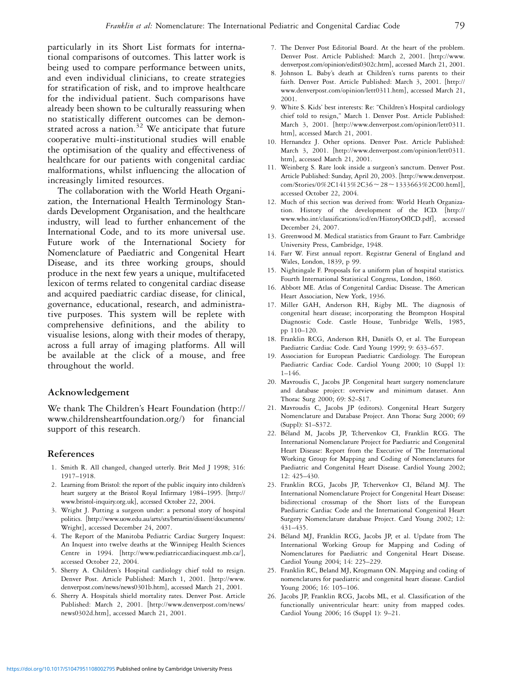particularly in its Short List formats for international comparisons of outcomes. This latter work is being used to compare performance between units, and even individual clinicians, to create strategies for stratification of risk, and to improve healthcare for the individual patient. Such comparisons have already been shown to be culturally reassuring when no statistically different outcomes can be demonstrated across a nation.<sup>32</sup> We anticipate that future cooperative multi-institutional studies will enable the optimisation of the quality and effectiveness of healthcare for our patients with congenital cardiac malformations, whilst influencing the allocation of increasingly limited resources.

The collaboration with the World Heath Organization, the International Health Terminology Standards Development Organisation, and the healthcare industry, will lead to further enhancement of the International Code, and to its more universal use. Future work of the International Society for Nomenclature of Paediatric and Congenital Heart Disease, and its three working groups, should produce in the next few years a unique, multifaceted lexicon of terms related to congenital cardiac disease and acquired paediatric cardiac disease, for clinical, governance, educational, research, and administrative purposes. This system will be replete with comprehensive definitions, and the ability to visualise lesions, along with their modes of therapy, across a full array of imaging platforms. All will be available at the click of a mouse, and free throughout the world.

## Acknowledgement

We thank The Children's Heart Foundation (http:// www.childrensheartfoundation.org/) for financial support of this research.

### References

- 1. Smith R. All changed, changed utterly. Brit Med J 1998; 316: 1917–1918.
- 2. Learning from Bristol: the report of the public inquiry into children's heart surgery at the Bristol Royal Infirmary 1984–1995. [http:// www.bristol-inquiry.org.uk], accessed October 22, 2004.
- 3. Wright J. Putting a surgeon under: a personal story of hospital politics. [http://www.uow.edu.au/arts/sts/bmartin/dissent/documents/ Wright], accessed December 24, 2007.
- 4. The Report of the Manitoba Pediatric Cardiac Surgery Inquest: An Inquest into twelve deaths at the Winnipeg Health Sciences Centre in 1994. [http://www.pediatriccardiacinquest.mb.ca/], accessed October 22, 2004.
- 5. Sherry A. Children's Hospital cardiology chief told to resign. Denver Post. Article Published: March 1, 2001. [http://www. denverpost.com/news/news0301b.htm], accessed March 21, 2001.
- 6. Sherry A. Hospitals shield mortality rates. Denver Post. Article Published: March 2, 2001. [http://www.denverpost.com/news/ news0302d.htm], accessed March 21, 2001.
- 7. The Denver Post Editorial Board. At the heart of the problem. Denver Post. Article Published: March 2, 2001. [http://www. denverpost.com/opinion/edits0302c.htm], accessed March 21, 2001.
- 8. Johnson L. Baby's death at Children's turns parents to their faith. Denver Post. Article Published: March 3, 2001. [http:// www.denverpost.com/opinion/lett0311.htm], accessed March 21, 2001.
- 9. White S. Kids' best interests: Re: "Children's Hospital cardiology chief told to resign,'' March 1. Denver Post. Article Published: March 3, 2001. [http://www.denverpost.com/opinion/lett0311. htm], accessed March 21, 2001.
- 10. Hernandez J. Other options. Denver Post. Article Published: March 3, 2001. [http://www.denverpost.com/opinion/lett0311. htm], accessed March 21, 2001.
- 11. Weinberg S. Rare look inside a surgeon's sanctum. Denver Post. Article Published: Sunday, April 20, 2003. [http://www.denverpost. com/Stories/0%2C1413%2C36~28~1333663%2C00.html], accessed October 22, 2004.
- 12. Much of this section was derived from: World Heath Organization. History of the development of the ICD. [http:// www.who.int/classifications/icd/en/HistoryOfICD.pdf], accessed December 24, 2007.
- 13. Greenwood M. Medical statistics from Graunt to Farr. Cambridge University Press, Cambridge, 1948.
- 14. Farr W. First annual report. Registrar General of England and Wales, London, 1839, p 99.
- 15. Nightingale F. Proposals for a uniform plan of hospital statistics. Fourth International Statistical Congress, London, 1860.
- 16. Abbott ME. Atlas of Congenital Cardiac Disease. The American Heart Association, New York, 1936.
- 17. Miller GAH, Anderson RH, Rigby ML. The diagnosis of congenital heart disease; incorporating the Brompton Hospital Diagnostic Code. Castle House, Tunbridge Wells, 1985, pp 110–120.
- 18. Franklin RCG, Anderson RH, Daniëls O, et al. The European Paediatric Cardiac Code. Card Young 1999; 9: 633–657.
- 19. Association for European Paediatric Cardiology. The European Paediatric Cardiac Code. Cardiol Young 2000; 10 (Suppl 1): 1–146.
- 20. Mavroudis C, Jacobs JP. Congenital heart surgery nomenclature and database project: overview and minimum dataset. Ann Thorac Surg 2000; 69: S2–S17.
- 21. Mavroudis C, Jacobs JP (editors). Congenital Heart Surgery Nomenclature and Database Project. Ann Thorac Surg 2000; 69 (Suppl): S1–S372.
- 22. Béland M, Jacobs JP, Tchervenkov CI, Franklin RCG. The International Nomenclature Project for Paediatric and Congenital Heart Disease: Report from the Executive of The International Working Group for Mapping and Coding of Nomenclatures for Paediatric and Congenital Heart Disease. Cardiol Young 2002; 12: 425–430.
- 23. Franklin RCG, Jacobs JP, Tchervenkov CI, Béland MJ. The International Nomenclature Project for Congenital Heart Disease: bidirectional crossmap of the Short lists of the European Paediatric Cardiac Code and the International Congenital Heart Surgery Nomenclature database Project. Card Young 2002; 12: 431–435.
- 24. Béland MJ, Franklin RCG, Jacobs JP, et al. Update from The International Working Group for Mapping and Coding of Nomenclatures for Paediatric and Congenital Heart Disease. Cardiol Young 2004; 14: 225–229.
- 25. Franklin RC, Beland MJ, Krogmann ON. Mapping and coding of nomenclatures for paediatric and congenital heart disease. Cardiol Young 2006; 16: 105–106.
- 26. Jacobs JP, Franklin RCG, Jacobs ML, et al. Classification of the functionally univentricular heart: unity from mapped codes. Cardiol Young 2006; 16 (Suppl 1): 9–21.